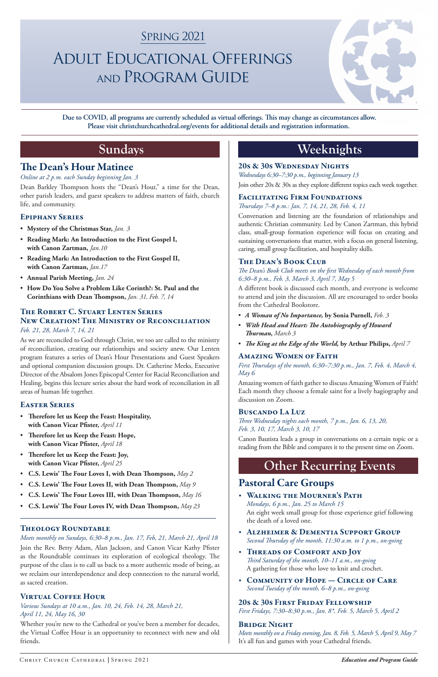# **Sundays**

### The Dean's Hour Matinee

### *Online at 2 p.m. each Sunday beginning Jan. 3*

Dean Barkley Thompson hosts the "Dean's Hour," a time for the Dean, other parish leaders, and guest speakers to address matters of faith, church life, and community.

### Epiphany Series

- **Mystery of the Christmas Star,** *Jan. 3*
- **Reading Mark: An Introduction to the First Gospel I, with Canon Zartman,** *Jan.10*
- **Reading Mark: An Introduction to the First Gospel II, with Canon Zartman,** *Jan.17*
- **Annual Parish Meeting,** *Jan. 24*
- **How Do You Solve a Problem Like Corinth?: St. Paul and the Corinthians with Dean Thompson,** *Jan. 31, Feb. 7, 14*

## The Robert C. Stuart Lenten Series New Creation! The Ministry of Reconciliation

### *Feb. 21, 28, March 7, 14, 21*

As we are reconciled to God through Christ, we too are called to the ministry of reconciliation, creating our relationships and society anew. Our Lenten program features a series of Dean's Hour Presentations and Guest Speakers and optional companion discussion groups. Dr. Catherine Meeks, Executive Director of the Absalom Jones Episcopal Center for Racial Reconciliation and Healing, begins this lecture series about the hard work of reconciliation in all areas of human life together.

### Easter Series

- **Therefore let us Keep the Feast: Hospitality, with Canon Vicar Pfister,** *April 11*
- **Therefore let us Keep the Feast: Hope, with Canon Vicar Pfister,** *April 18*
- **Therefore let us Keep the Feast: Joy, with Canon Vicar Pfister,** *April 25*
- **C.S. Lewis' The Four Loves I, with Dean Thompson,** *May 2*
- **C.S. Lewis' The Four Loves II, with Dean Thompson,** *May 9*
- **C.S. Lewis' The Four Loves III, with Dean Thompson,** *May 16*

### Theology Roundtable

*Meets monthly on Sundays, 6:30–8 p.m., Jan. 17, Feb, 21, March 21, April 18* Join the Rev. Betty Adam, Alan Jackson, and Canon Vicar Kathy Pfister as the Roundtable continues its exploration of ecological theology. The purpose of the class is to call us back to a more authentic mode of being, as we reclaim our interdependence and deep connection to the natural world, as sacred creation.

### Virtual Coffee Hour

*Various Sundays at 10 a.m., Jan. 10, 24, Feb. 14, 28, March 21, April 11, 24, May 16, 30*

Whether you're new to the Cathedral or you've been a member for decades, the Virtual Coffee Hour is an opportunity to reconnect with new and old friends.

# **Weeknights**

### 20s & 30s Wednesday Nights

*Wednesdays 6:30–7:30 p.m., beginning January 13* Join other 20s & 30s as they explore different topics each week together.

### FACILITATING FIRM FOUNDATIONS

### *Thursdays 7–8 p.m.: Jan. 7, 14, 21, 28, Feb. 4, 11*

Conversation and listening are the foundation of relationships and authentic Christian community. Led by Canon Zartman, this hybrid class, small-group formation experience will focus on creating and sustaining conversations that matter, with a focus on general listening, caring, small group facilitation, and hospitality skills.

- Walking the Mourner's Path
- 
- **C.S. Lewis' The Four Loves IV, with Dean Thompson,** *May 23*

### The Dean's Book Club

*The Dean's Book Club meets on the first Wednesday of each month from 6:30–8 p.m., Feb. 3, March 3, April 7, May 5* 

A different book is discussed each month, and everyone is welcome to attend and join the discussion. All are encouraged to order books from the Cathedral Bookstore.

- *A Woman of No Importance,* **by Sonia Purnell,** *Feb. 3*
- *With Head and Heart: The Autobiography of Howard Thurman, March 3*
- *The King at the Edge of the World,* **by Arthur Philips,** *April 7*

### Amazing Women of Faith

*First Thursdays of the month, 6:30–7:30 p.m., Jan. 7, Feb. 4, March 4, May 6*

Amazing women of faith gather to discuss Amazing Women of Faith! Each month they choose a female saint for a lively hagiography and discussion on Zoom.

### Buscando La Luz

*Three Wednesday nights each month, 7 p.m., Jan. 6, 13, 20, Feb. 3, 10, 17, March 3, 10, 17* 

Canon Bautista leads a group in conversations on a certain topic or a reading from the Bible and compares it to the present time on Zoom.

# **Other Recurring Events**

### Pastoral Care Groups

*Mondays, 6 p.m., Jan. 25 to March 15* An eight week small group for those experience grief following the death of a loved one.

- Alzheimer & Dementia Support Group *Second Thursday of the month, 11:30 a.m. to 1 p.m., on-going*
- THREADS OF COMFORT AND JOY *Third Saturday of the month, 10–11 a.m., on-going* A gathering for those who love to knit and crochet.
- COMMUNITY OF HOPE CIRCLE OF CARE *Second Tuesday of the month, 6–8 p.m., on-going*

20s & 30s First Friday Fellowship *First Fridays, 7:30–8:30 p.m., Jan. 8\*, Feb. 5, March 5, April 2*

### **BRIDGE NIGHT**

*Meets monthly on a Friday evening, Jan. 8, Feb. 5, March 5, April 9, May 7* It's all fun and games with your Cathedral friends.

# **SPRING 2021**

# Adult Educational Offerings and Program Guide



**Due to COVID, all programs are currently scheduled as virtual offerings. This may change as circumstances allow. Please visit christchurchcathedral.org/events for additional details and registration information.**